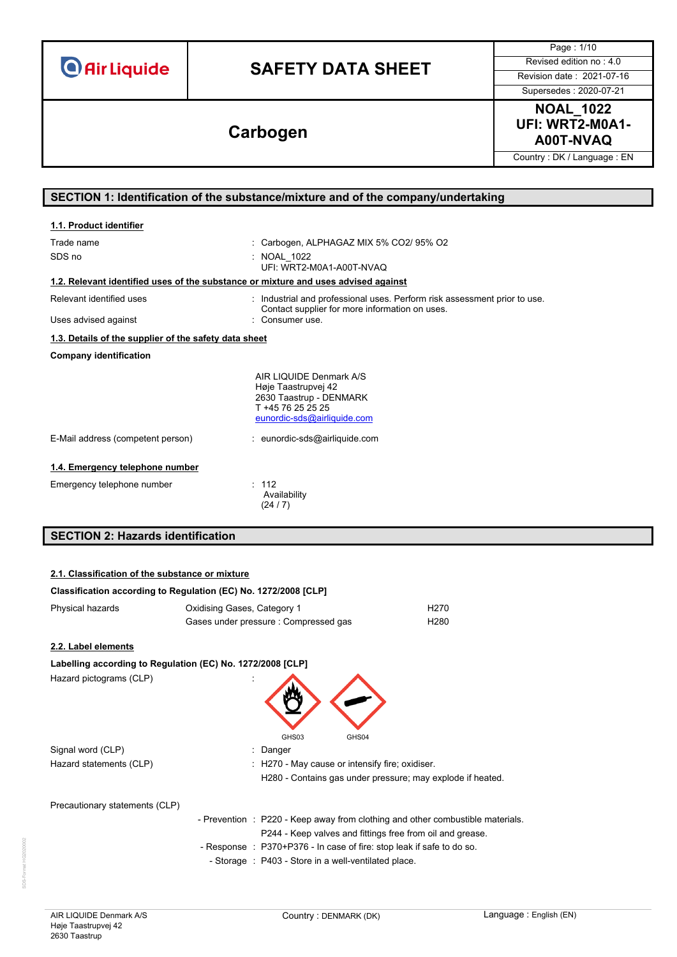| <b>O</b> Air Liquide |  |  |  |
|----------------------|--|--|--|
|                      |  |  |  |

Supersedes : 2020-07-21

Page : 1/10



Country : DK / Language : EN

#### **SECTION 1: Identification of the substance/mixture and of the company/undertaking**

| 1.1. Product identifier                                                            |                                                                                                                               |
|------------------------------------------------------------------------------------|-------------------------------------------------------------------------------------------------------------------------------|
| Trade name                                                                         | : Carbogen, ALPHAGAZ MIX 5% CO2/ 95% O2                                                                                       |
| SDS no                                                                             | : NOAL 1022<br>UFI: WRT2-M0A1-A00T-NVAO                                                                                       |
| 1.2. Relevant identified uses of the substance or mixture and uses advised against |                                                                                                                               |
| Relevant identified uses                                                           | Industrial and professional uses. Perform risk assessment prior to use.<br>Contact supplier for more information on uses.     |
| Uses advised against                                                               | : Consumer use.                                                                                                               |
| 1.3. Details of the supplier of the safety data sheet                              |                                                                                                                               |
| <b>Company identification</b>                                                      |                                                                                                                               |
|                                                                                    | AIR LIQUIDE Denmark A/S<br>Høje Taastrupvej 42<br>2630 Taastrup - DENMARK<br>T +45 76 25 25 25<br>eunordic-sds@airliquide.com |
| E-Mail address (competent person)                                                  | : eunordic-sds@airliquide.com                                                                                                 |
| 1.4. Emergency telephone number                                                    |                                                                                                                               |
| Emergency telephone number                                                         | : 112<br>Availability<br>(24/7)                                                                                               |

## **SECTION 2: Hazards identification**

#### **2.1. Classification of the substance or mixture**

| Classification according to Regulation (EC) No. 1272/2008 [CLP] |                             |                                                                                                                                             |
|-----------------------------------------------------------------|-----------------------------|---------------------------------------------------------------------------------------------------------------------------------------------|
| Physical hazards                                                | Oxidising Gases, Category 1 | H <sub>270</sub>                                                                                                                            |
|                                                                 |                             | Gases under pressure : Compressed gas<br>H <sub>280</sub>                                                                                   |
| 2.2. Label elements                                             |                             |                                                                                                                                             |
| Labelling according to Regulation (EC) No. 1272/2008 [CLP]      |                             |                                                                                                                                             |
| Hazard pictograms (CLP)                                         |                             | GHS03<br>GHS04                                                                                                                              |
| Signal word (CLP)                                               |                             | : Danger                                                                                                                                    |
| Hazard statements (CLP)                                         |                             | : H270 - May cause or intensify fire; oxidiser.                                                                                             |
|                                                                 |                             | H280 - Contains gas under pressure; may explode if heated.                                                                                  |
| Precautionary statements (CLP)                                  |                             |                                                                                                                                             |
|                                                                 |                             | - Prevention : P220 - Keep away from clothing and other combustible materials.<br>P244 - Keep valves and fittings free from oil and grease. |
|                                                                 |                             | - Response : P370+P376 - In case of fire: stop leak if safe to do so.                                                                       |
|                                                                 |                             | - Storage : P403 - Store in a well-ventilated place.                                                                                        |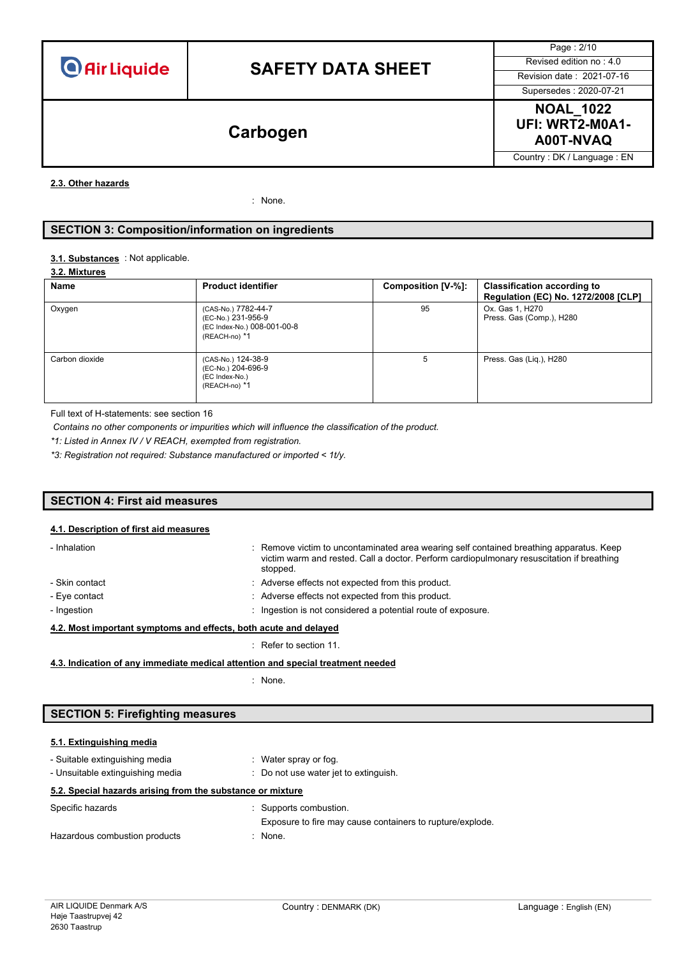Page : 2/10 Supersedes : 2020-07-21



Country : DK / Language : EN

#### **2.3. Other hazards**

: None.

#### **SECTION 3: Composition/information on ingredients**

#### : Not applicable. **3.1. Substances**

#### **3.2. Mixtures**

| Name           | <b>Product identifier</b>                                                                 | Composition [V-%]: | <b>Classification according to</b><br>Regulation (EC) No. 1272/2008 [CLP] |
|----------------|-------------------------------------------------------------------------------------------|--------------------|---------------------------------------------------------------------------|
| Oxygen         | (CAS-No.) 7782-44-7<br>(EC-No.) 231-956-9<br>(EC Index-No.) 008-001-00-8<br>(REACH-no) *1 | 95                 | Ox. Gas 1, H270<br>Press. Gas (Comp.), H280                               |
| Carbon dioxide | (CAS-No.) 124-38-9<br>(EC-No.) 204-696-9<br>(EC Index-No.)<br>(REACH-no) *1               | 5                  | Press. Gas (Lig.), H280                                                   |

Full text of H-statements: see section 16

*Contains no other components or impurities which will influence the classification of the product.*

*\*1: Listed in Annex IV / V REACH, exempted from registration.*

*\*3: Registration not required: Substance manufactured or imported < 1t/y.*

#### **SECTION 4: First aid measures**

#### **4.1. Description of first aid measures**

| - Inhalation                                                     | : Remove victim to uncontaminated area wearing self contained breathing apparatus. Keep<br>victim warm and rested. Call a doctor. Perform cardiopulmonary resuscitation if breathing<br>stopped. |
|------------------------------------------------------------------|--------------------------------------------------------------------------------------------------------------------------------------------------------------------------------------------------|
| - Skin contact                                                   | : Adverse effects not expected from this product.                                                                                                                                                |
| - Eye contact                                                    | : Adverse effects not expected from this product.                                                                                                                                                |
| - Ingestion                                                      | : Ingestion is not considered a potential route of exposure.                                                                                                                                     |
| 4.2. Most important symptoms and effects, both acute and delayed |                                                                                                                                                                                                  |

: Refer to section 11.

#### **4.3. Indication of any immediate medical attention and special treatment needed**

: None.

### **SECTION 5: Firefighting measures**

### **5.1. Extinguishing media**

| - Suitable extinguishing media                             | $\therefore$ Water spray or fog.                          |
|------------------------------------------------------------|-----------------------------------------------------------|
| - Unsuitable extinguishing media                           | : Do not use water jet to extinguish.                     |
| 5.2. Special hazards arising from the substance or mixture |                                                           |
| Specific hazards                                           | : Supports combustion.                                    |
|                                                            | Exposure to fire may cause containers to rupture/explode. |
| Hazardous combustion products                              | $:$ None.                                                 |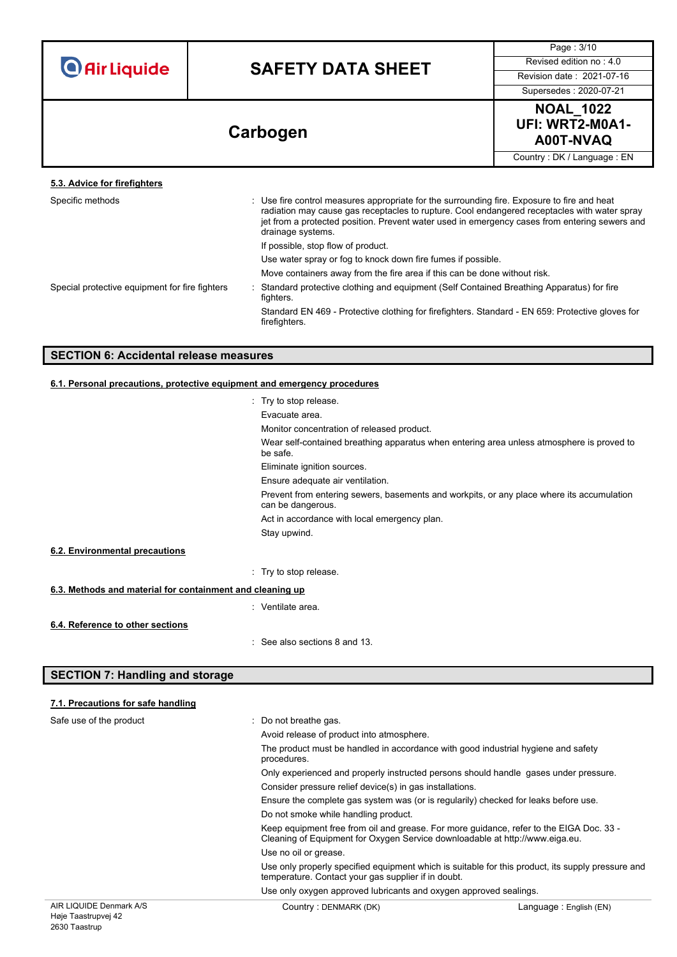| <b>O</b> Air Liquide |  |  |  |
|----------------------|--|--|--|
|                      |  |  |  |

Page : 3/10

Supersedes : 2020-07-21

**NOAL\_1022 UFI: WRT2-M0A1- A00T-NVAQ Carbogen**

Country : DK / Language : EN

| 5.3. Advice for firefighters                   |                                                                                                                                                                                                                                                                                                                   |
|------------------------------------------------|-------------------------------------------------------------------------------------------------------------------------------------------------------------------------------------------------------------------------------------------------------------------------------------------------------------------|
| Specific methods                               | : Use fire control measures appropriate for the surrounding fire. Exposure to fire and heat<br>radiation may cause gas receptacles to rupture. Cool endangered receptacles with water spray<br>jet from a protected position. Prevent water used in emergency cases from entering sewers and<br>drainage systems. |
|                                                | If possible, stop flow of product.                                                                                                                                                                                                                                                                                |
|                                                | Use water spray or fog to knock down fire fumes if possible.                                                                                                                                                                                                                                                      |
|                                                | Move containers away from the fire area if this can be done without risk.                                                                                                                                                                                                                                         |
| Special protective equipment for fire fighters | Standard protective clothing and equipment (Self Contained Breathing Apparatus) for fire<br>fighters.                                                                                                                                                                                                             |
|                                                | Standard EN 469 - Protective clothing for firefighters. Standard - EN 659: Protective gloves for<br>firefighters.                                                                                                                                                                                                 |
|                                                |                                                                                                                                                                                                                                                                                                                   |

### **SECTION 6: Accidental release measures**

#### **6.1. Personal precautions, protective equipment and emergency procedures**

|                                                           | : Try to stop release.                                                                                         |
|-----------------------------------------------------------|----------------------------------------------------------------------------------------------------------------|
|                                                           | Evacuate area.                                                                                                 |
|                                                           | Monitor concentration of released product.                                                                     |
|                                                           | Wear self-contained breathing apparatus when entering area unless atmosphere is proved to<br>be safe.          |
|                                                           | Eliminate ignition sources.                                                                                    |
|                                                           | Ensure adequate air ventilation.                                                                               |
|                                                           | Prevent from entering sewers, basements and workpits, or any place where its accumulation<br>can be dangerous. |
|                                                           | Act in accordance with local emergency plan.                                                                   |
|                                                           | Stay upwind.                                                                                                   |
| 6.2. Environmental precautions                            |                                                                                                                |
|                                                           | : Try to stop release.                                                                                         |
| 6.3. Methods and material for containment and cleaning up |                                                                                                                |
|                                                           | : Ventilate area.                                                                                              |
| 6.4. Reference to other sections                          |                                                                                                                |
|                                                           | : See also sections 8 and 13.                                                                                  |

#### **SECTION 7: Handling and storage**

2630 Taastrup

#### AIR LIQUIDE Denmark A/S Høje Taastrupvej 42 Country : DENMARK (DK)  $\qquad \qquad$  Language : English (EN) **7.1. Precautions for safe handling** Safe use of the product : Do not breathe gas. Avoid release of product into atmosphere. The product must be handled in accordance with good industrial hygiene and safety procedures. Only experienced and properly instructed persons should handle gases under pressure. Consider pressure relief device(s) in gas installations. Ensure the complete gas system was (or is regularily) checked for leaks before use. Do not smoke while handling product. Keep equipment free from oil and grease. For more guidance, refer to the EIGA Doc. 33 - Cleaning of Equipment for Oxygen Service downloadable at http://www.eiga.eu. Use no oil or grease. Use only properly specified equipment which is suitable for this product, its supply pressure and temperature. Contact your gas supplier if in doubt. Use only oxygen approved lubricants and oxygen approved sealings.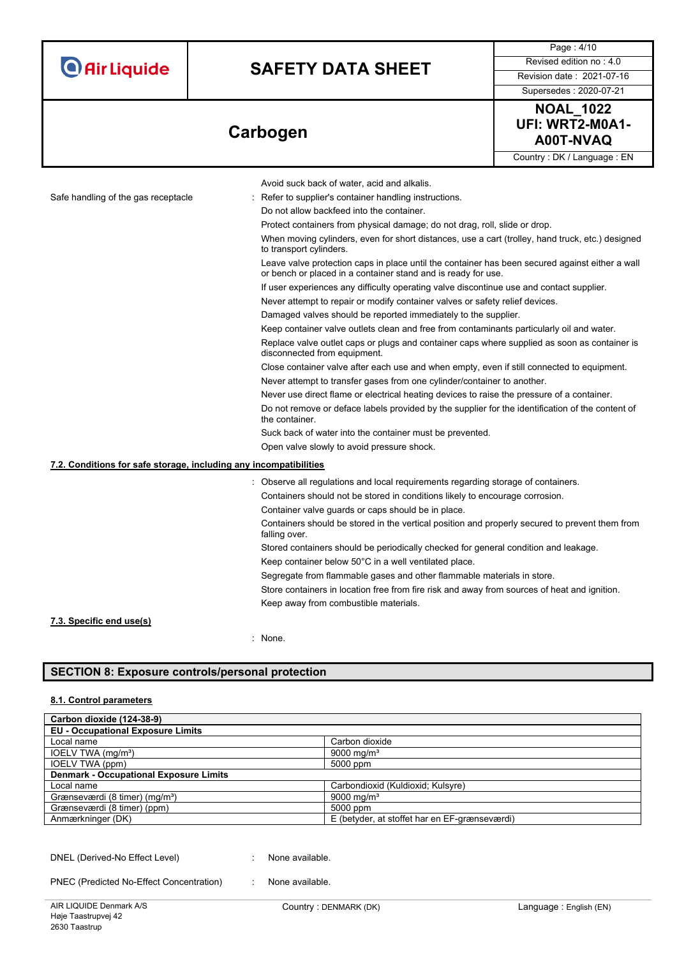| <b>O</b> Air Liquide |  |  |
|----------------------|--|--|
|                      |  |  |

Page : 4/10

### Supersedes : 2020-07-21



Country : DK / Language : EN

|                                                                   | Avoid suck back of water, acid and alkalis.                                                                                                                      |
|-------------------------------------------------------------------|------------------------------------------------------------------------------------------------------------------------------------------------------------------|
| Safe handling of the gas receptacle                               | : Refer to supplier's container handling instructions.                                                                                                           |
|                                                                   | Do not allow backfeed into the container.                                                                                                                        |
|                                                                   | Protect containers from physical damage; do not drag, roll, slide or drop.                                                                                       |
|                                                                   | When moving cylinders, even for short distances, use a cart (trolley, hand truck, etc.) designed<br>to transport cylinders.                                      |
|                                                                   | Leave valve protection caps in place until the container has been secured against either a wall<br>or bench or placed in a container stand and is ready for use. |
|                                                                   | If user experiences any difficulty operating valve discontinue use and contact supplier.                                                                         |
|                                                                   | Never attempt to repair or modify container valves or safety relief devices.                                                                                     |
|                                                                   | Damaged valves should be reported immediately to the supplier.                                                                                                   |
|                                                                   | Keep container valve outlets clean and free from contaminants particularly oil and water.                                                                        |
|                                                                   | Replace valve outlet caps or plugs and container caps where supplied as soon as container is<br>disconnected from equipment.                                     |
|                                                                   | Close container valve after each use and when empty, even if still connected to equipment.                                                                       |
|                                                                   | Never attempt to transfer gases from one cylinder/container to another.                                                                                          |
|                                                                   | Never use direct flame or electrical heating devices to raise the pressure of a container.                                                                       |
|                                                                   | Do not remove or deface labels provided by the supplier for the identification of the content of<br>the container.                                               |
|                                                                   | Suck back of water into the container must be prevented.                                                                                                         |
|                                                                   | Open valve slowly to avoid pressure shock.                                                                                                                       |
| 7.2. Conditions for safe storage, including any incompatibilities |                                                                                                                                                                  |
|                                                                   | : Observe all regulations and local requirements regarding storage of containers.                                                                                |
|                                                                   | Containers should not be stored in conditions likely to encourage corrosion.                                                                                     |
|                                                                   | Container valve guards or caps should be in place.                                                                                                               |
|                                                                   | Containers should be stored in the vertical position and properly secured to prevent them from<br>falling over.                                                  |
|                                                                   | Stored containers should be periodically checked for general condition and leakage.                                                                              |
|                                                                   | Keep container below 50°C in a well ventilated place.                                                                                                            |
|                                                                   | Segregate from flammable gases and other flammable materials in store.                                                                                           |
|                                                                   | Store containers in location free from fire risk and away from sources of heat and ignition.                                                                     |
|                                                                   | Keep away from combustible materials.                                                                                                                            |
| 7.3. Specific end use(s)                                          |                                                                                                                                                                  |

: None.

### **SECTION 8: Exposure controls/personal protection**

#### **8.1. Control parameters**

| Carbon dioxide (124-38-9)                     |                                               |
|-----------------------------------------------|-----------------------------------------------|
| <b>EU - Occupational Exposure Limits</b>      |                                               |
| Local name                                    | Carbon dioxide                                |
| IOELV TWA (mg/m <sup>3</sup> )                | 9000 mg/m <sup>3</sup>                        |
| IOELV TWA (ppm)                               | 5000 ppm                                      |
| <b>Denmark - Occupational Exposure Limits</b> |                                               |
| Local name                                    | Carbondioxid (Kuldioxid; Kulsyre)             |
| Grænseværdi (8 timer) (mg/m <sup>3</sup> )    | 9000 mg/m <sup>3</sup>                        |
| Grænseværdi (8 timer) (ppm)                   | 5000 ppm                                      |
| Anmærkninger (DK)                             | E (betyder, at stoffet har en EF-grænseværdi) |

DNEL (Derived-No Effect Level) : None available.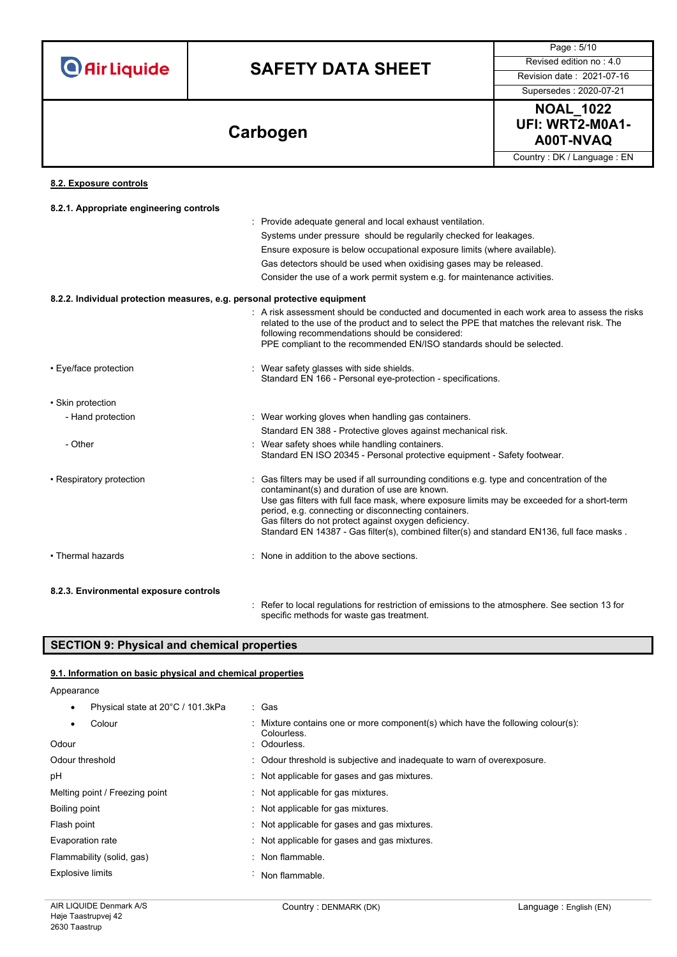**O** Air Liquide

# **SAFETY DATA SHEET** Revised edition no : 4.0

Supersedes : 2020-07-21

Page : 5/10



Country : DK / Language : EN

#### **8.2. Exposure controls**

| 8.2.1. Appropriate engineering controls                                   |                                                                                                                                                                                                                                                                                                                       |
|---------------------------------------------------------------------------|-----------------------------------------------------------------------------------------------------------------------------------------------------------------------------------------------------------------------------------------------------------------------------------------------------------------------|
|                                                                           | Provide adequate general and local exhaust ventilation.                                                                                                                                                                                                                                                               |
|                                                                           | Systems under pressure should be regularily checked for leakages.                                                                                                                                                                                                                                                     |
|                                                                           | Ensure exposure is below occupational exposure limits (where available).                                                                                                                                                                                                                                              |
|                                                                           | Gas detectors should be used when oxidising gases may be released.                                                                                                                                                                                                                                                    |
|                                                                           | Consider the use of a work permit system e.g. for maintenance activities.                                                                                                                                                                                                                                             |
| 8.2.2. Individual protection measures, e.g. personal protective equipment |                                                                                                                                                                                                                                                                                                                       |
|                                                                           | A risk assessment should be conducted and documented in each work area to assess the risks<br>related to the use of the product and to select the PPE that matches the relevant risk. The<br>following recommendations should be considered:<br>PPE compliant to the recommended EN/ISO standards should be selected. |
| • Eye/face protection                                                     | : Wear safety glasses with side shields.<br>Standard EN 166 - Personal eye-protection - specifications.                                                                                                                                                                                                               |
| • Skin protection                                                         |                                                                                                                                                                                                                                                                                                                       |
| - Hand protection                                                         | : Wear working gloves when handling gas containers.                                                                                                                                                                                                                                                                   |
|                                                                           | Standard EN 388 - Protective gloves against mechanical risk.                                                                                                                                                                                                                                                          |
| - Other                                                                   | : Wear safety shoes while handling containers.<br>Standard EN ISO 20345 - Personal protective equipment - Safety footwear.                                                                                                                                                                                            |
| • Respiratory protection                                                  | Gas filters may be used if all surrounding conditions e.g. type and concentration of the<br>contaminant(s) and duration of use are known.                                                                                                                                                                             |
|                                                                           | Use gas filters with full face mask, where exposure limits may be exceeded for a short-term<br>period, e.g. connecting or disconnecting containers.                                                                                                                                                                   |
|                                                                           | Gas filters do not protect against oxygen deficiency.<br>Standard EN 14387 - Gas filter(s), combined filter(s) and standard EN136, full face masks.                                                                                                                                                                   |
| • Thermal hazards                                                         | : None in addition to the above sections.                                                                                                                                                                                                                                                                             |
| 8.2.3. Environmental exposure controls                                    |                                                                                                                                                                                                                                                                                                                       |
|                                                                           | Refer to local regulations for restriction of emissions to the atmosphere. See section 13 for                                                                                                                                                                                                                         |

specific methods for waste gas treatment.

### **SECTION 9: Physical and chemical properties**

#### **9.1. Information on basic physical and chemical properties**

#### Appearance

| Physical state at 20°C / 101.3kPa | : Gas                                                                                         |
|-----------------------------------|-----------------------------------------------------------------------------------------------|
| Colour                            | : Mixture contains one or more component(s) which have the following colour(s):<br>Colourless |
| Odour                             | : Odourless.                                                                                  |
| Odour threshold                   | : Odour threshold is subjective and inadequate to warn of overexposure.                       |
| рH                                | : Not applicable for gases and gas mixtures.                                                  |
| Melting point / Freezing point    | : Not applicable for gas mixtures.                                                            |
| Boiling point                     | : Not applicable for gas mixtures.                                                            |
| Flash point                       | : Not applicable for gases and gas mixtures.                                                  |
| Evaporation rate                  | : Not applicable for gases and gas mixtures.                                                  |
| Flammability (solid, gas)         | : Non flammable.                                                                              |
| <b>Explosive limits</b>           | Non flammable.                                                                                |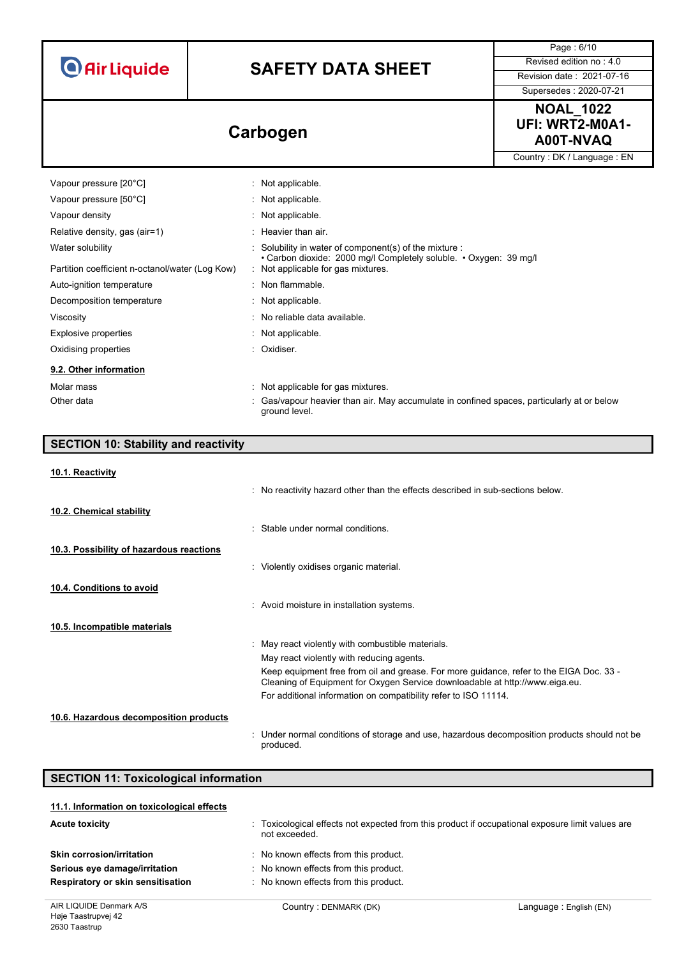**O** Air Liquide

## **SAFETY DATA SHEET** Revised edition no : 4.0

Page : 6/10

Supersedes : 2020-07-21

### **NOAL\_1022 UFI: WRT2-M0A1- A00T-NVAQ Carbogen**

Country : DK / Language : EN

| Vapour pressure [20°C]                          | : Not applicable.                                                                                           |
|-------------------------------------------------|-------------------------------------------------------------------------------------------------------------|
| Vapour pressure [50°C]                          | : Not applicable.                                                                                           |
| Vapour density                                  | : Not applicable.                                                                                           |
| Relative density, gas (air=1)                   | $:$ Heavier than air.                                                                                       |
| Water solubility                                | $\therefore$ Solubility in water of component(s) of the mixture $\therefore$                                |
| Partition coefficient n-octanol/water (Log Kow) | • Carbon dioxide: 2000 mg/l Completely soluble. • Oxygen: 39 mg/l<br>: Not applicable for gas mixtures.     |
| Auto-ignition temperature                       | : Non flammable.                                                                                            |
| Decomposition temperature                       | : Not applicable.                                                                                           |
| Viscosity                                       | : No reliable data available.                                                                               |
| Explosive properties                            | : Not applicable.                                                                                           |
| Oxidising properties                            | : Oxidiser.                                                                                                 |
| 9.2. Other information                          |                                                                                                             |
| Molar mass                                      | : Not applicable for gas mixtures.                                                                          |
| Other data                                      | : Gas/vapour heavier than air. May accumulate in confined spaces, particularly at or below<br>ground level. |

## **SECTION 10: Stability and reactivity 10.1. Reactivity** : No reactivity hazard other than the effects described in sub-sections below. **10.2. Chemical stability** : Stable under normal conditions. **10.3. Possibility of hazardous reactions** : Violently oxidises organic material. **10.4. Conditions to avoid** : Avoid moisture in installation systems. **10.5. Incompatible materials** : May react violently with combustible materials. May react violently with reducing agents. Keep equipment free from oil and grease. For more guidance, refer to the EIGA Doc. 33 - Cleaning of Equipment for Oxygen Service downloadable at http://www.eiga.eu. For additional information on compatibility refer to ISO 11114. **10.6. Hazardous decomposition products** : Under normal conditions of storage and use, hazardous decomposition products should not be produced. **SECTION 11: Toxicological information**

| 11.1. Information on toxicological effects |                                                                                                                   |
|--------------------------------------------|-------------------------------------------------------------------------------------------------------------------|
| <b>Acute toxicity</b>                      | : Toxicological effects not expected from this product if occupational exposure limit values are<br>not exceeded. |
| <b>Skin corrosion/irritation</b>           | No known effects from this product.                                                                               |
| Serious eye damage/irritation              | : No known effects from this product.                                                                             |
| Respiratory or skin sensitisation          | : No known effects from this product.                                                                             |
|                                            |                                                                                                                   |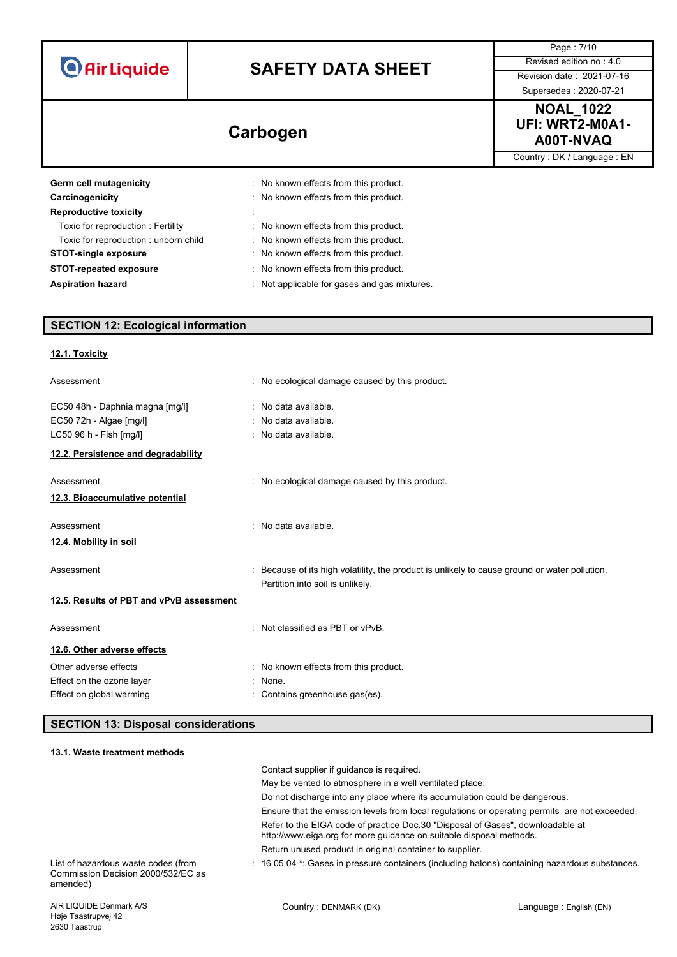|                                                                                                                                                                                                                                                     |                                                                                                                                                                                                                                                                                            | Page: 7/10<br>Revised edition no: 4.0                   |
|-----------------------------------------------------------------------------------------------------------------------------------------------------------------------------------------------------------------------------------------------------|--------------------------------------------------------------------------------------------------------------------------------------------------------------------------------------------------------------------------------------------------------------------------------------------|---------------------------------------------------------|
|                                                                                                                                                                                                                                                     | <b>O</b> Air Liquide<br><b>SAFETY DATA SHEET</b>                                                                                                                                                                                                                                           |                                                         |
|                                                                                                                                                                                                                                                     |                                                                                                                                                                                                                                                                                            | Revision date: 2021-07-16<br>Supersedes: 2020-07-21     |
|                                                                                                                                                                                                                                                     |                                                                                                                                                                                                                                                                                            |                                                         |
|                                                                                                                                                                                                                                                     | Carbogen                                                                                                                                                                                                                                                                                   | <b>NOAL_1022</b><br><b>UFI: WRT2-M0A1-</b><br>A00T-NVAQ |
|                                                                                                                                                                                                                                                     |                                                                                                                                                                                                                                                                                            | Country: DK / Language: EN                              |
| Germ cell mutagenicity<br>Carcinogenicity<br><b>Reproductive toxicity</b><br>Toxic for reproduction: Fertility<br>Toxic for reproduction : unborn child<br><b>STOT-single exposure</b><br><b>STOT-repeated exposure</b><br><b>Aspiration hazard</b> | No known effects from this product.<br>No known effects from this product.<br>: No known effects from this product.<br>: No known effects from this product.<br>: No known effects from this product.<br>No known effects from this product.<br>Not applicable for gases and gas mixtures. |                                                         |
| <b>SECTION 12: Ecological information</b>                                                                                                                                                                                                           |                                                                                                                                                                                                                                                                                            |                                                         |

| Assessment                               | No ecological damage caused by this product.                                                                                    |
|------------------------------------------|---------------------------------------------------------------------------------------------------------------------------------|
| EC50 48h - Daphnia magna [mg/l]          | : No data available.                                                                                                            |
| EC50 72h - Algae [mg/l]                  | : No data available.                                                                                                            |
| LC50 96 h - Fish [mg/l]                  | No data available.                                                                                                              |
| 12.2. Persistence and degradability      |                                                                                                                                 |
| Assessment                               | : No ecological damage caused by this product.                                                                                  |
| 12.3. Bioaccumulative potential          |                                                                                                                                 |
| Assessment                               | No data available.                                                                                                              |
| 12.4. Mobility in soil                   |                                                                                                                                 |
| Assessment                               | Because of its high volatility, the product is unlikely to cause ground or water pollution.<br>Partition into soil is unlikely. |
| 12.5. Results of PBT and vPvB assessment |                                                                                                                                 |
| Assessment                               | : Not classified as PBT or vPvB.                                                                                                |
| 12.6. Other adverse effects              |                                                                                                                                 |
| Other adverse effects                    | : No known effects from this product.                                                                                           |
| Effect on the ozone layer                | None.                                                                                                                           |
| Effect on global warming                 | Contains greenhouse gas(es).                                                                                                    |

## **SECTION 13: Disposal considerations**

| 13.1. Waste treatment methods                                                         |                                                                                                                                                       |                        |
|---------------------------------------------------------------------------------------|-------------------------------------------------------------------------------------------------------------------------------------------------------|------------------------|
|                                                                                       | Contact supplier if guidance is required.                                                                                                             |                        |
|                                                                                       | May be vented to atmosphere in a well ventilated place.                                                                                               |                        |
|                                                                                       | Do not discharge into any place where its accumulation could be dangerous.                                                                            |                        |
|                                                                                       | Ensure that the emission levels from local regulations or operating permits are not exceeded.                                                         |                        |
|                                                                                       | Refer to the EIGA code of practice Doc.30 "Disposal of Gases", downloadable at<br>http://www.eiga.org for more guidance on suitable disposal methods. |                        |
|                                                                                       | Return unused product in original container to supplier.                                                                                              |                        |
| List of hazardous waste codes (from<br>Commission Decision 2000/532/FC as<br>amended) | $\pm$ 16 05 04 $^*$ . Gases in pressure containers (including halons) containing hazardous substances.                                                |                        |
| AIR LIQUIDE Denmark A/S                                                               | Country: DENMARK (DK)                                                                                                                                 | Language: English (EN) |

**12.1. Toxicity**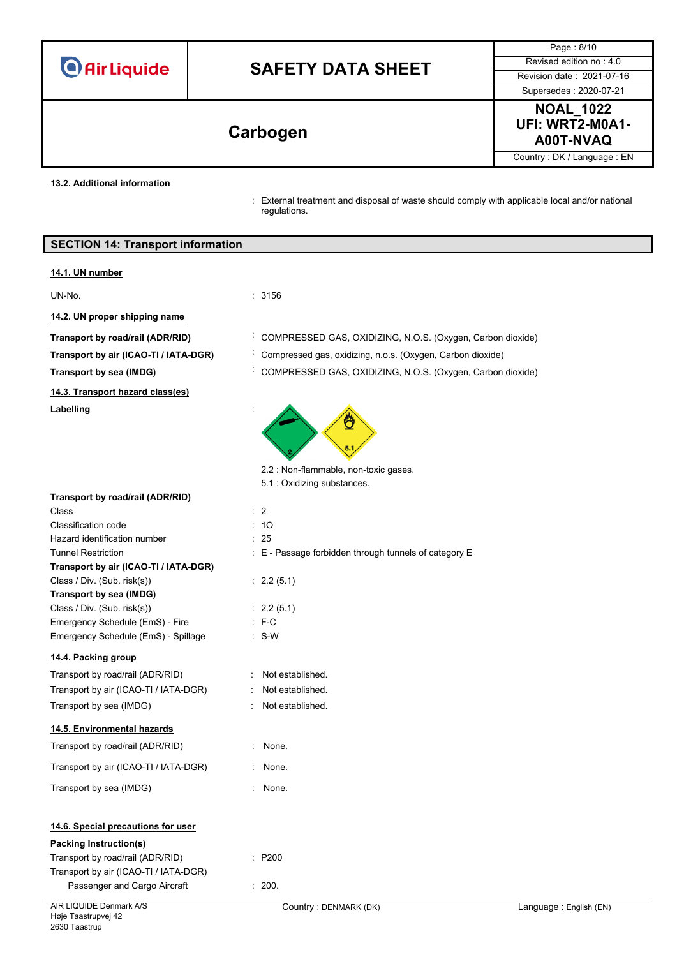| <b>O</b> Air Liquide |  |
|----------------------|--|
|----------------------|--|

Page : 8/10 Supersedes : 2020-07-21

**NOAL\_1022 UFI: WRT2-M0A1- A00T-NVAQ Carbogen**

Country : DK / Language : EN

**13.2. Additional information**

: External treatment and disposal of waste should comply with applicable local and/or national regulations.

|  |  |  |  | <b>SECTION 14: Transport information</b> |
|--|--|--|--|------------------------------------------|
|--|--|--|--|------------------------------------------|

#### **14.1. UN number**

UN-No. : 3156

**14.2. UN proper shipping name**

**14.3. Transport hazard class(es)**

**Labelling** :

- **Transport by road/rail (ADR/RID)** : COMPRESSED GAS, OXIDIZING, N.O.S. (Oxygen, Carbon dioxide)
- **Transport by air (ICAO-TI / IATA-DGR)** : Compressed gas, oxidizing, n.o.s. (Oxygen, Carbon dioxide)

E - Passage forbidden through tunnels of category E

**Transport by sea (IMDG)** : COMPRESSED GAS, OXIDIZING, N.O.S. (Oxygen, Carbon dioxide)



2.2 : Non-flammable, non-toxic gases.

5.1 : Oxidizing substances.

 $2.2(5.1)$ 

 $2.2(5.1)$ 

Not established Not established. Not established.

| Transport by road/rail (ADR/RID)      |   |                |
|---------------------------------------|---|----------------|
| Class                                 |   | $\therefore$ 2 |
| <b>Classification code</b>            |   | : 10           |
| Hazard identification number          |   | : 25           |
| <b>Tunnel Restriction</b>             |   | : E - Pa:      |
| Transport by air (ICAO-TI / IATA-DGR) |   |                |
| Class / Div. (Sub. risk(s))           |   | : 2.2(5.       |
| Transport by sea (IMDG)               |   |                |
| Class / Div. (Sub. risk(s))           |   | : 2.2(5.       |
| Emergency Schedule (EmS) - Fire       |   | $E - C$        |
| Emergency Schedule (EmS) - Spillage   |   | $: S-W$        |
| 14.4. Packing group                   |   |                |
| Transport by road/rail (ADR/RID)      | t | Not es         |
| Transport by air (ICAO-TI / IATA-DGR) | ٠ | Not es         |
| Transport by sea (IMDG)               | ۰ | Not es         |
| 14.5. Environmental hazards           |   |                |
| Transport by road/rail (ADR/RID)      | ٠ | None.          |
|                                       |   |                |

| Transport by road/rail (ADR/RID)      | $:$ None. |
|---------------------------------------|-----------|
| Transport by air (ICAO-TI / IATA-DGR) | None.     |

## Transport by sea (IMDG) **in the set of the sea of the sea of the set of the sea of the sea of the sea of the sea of the sea of the sea of the sea of the sea of the sea of the sea of the sea of the sea of the sea of the sea**

### **14.6. Special precautions for user**

### **Packing Instruction(s)**

| Transport by road/rail (ADR/RID)      | $\therefore$ P200 |
|---------------------------------------|-------------------|
| Transport by air (ICAO-TI / IATA-DGR) |                   |
| Passenger and Cargo Aircraft          | : 200.            |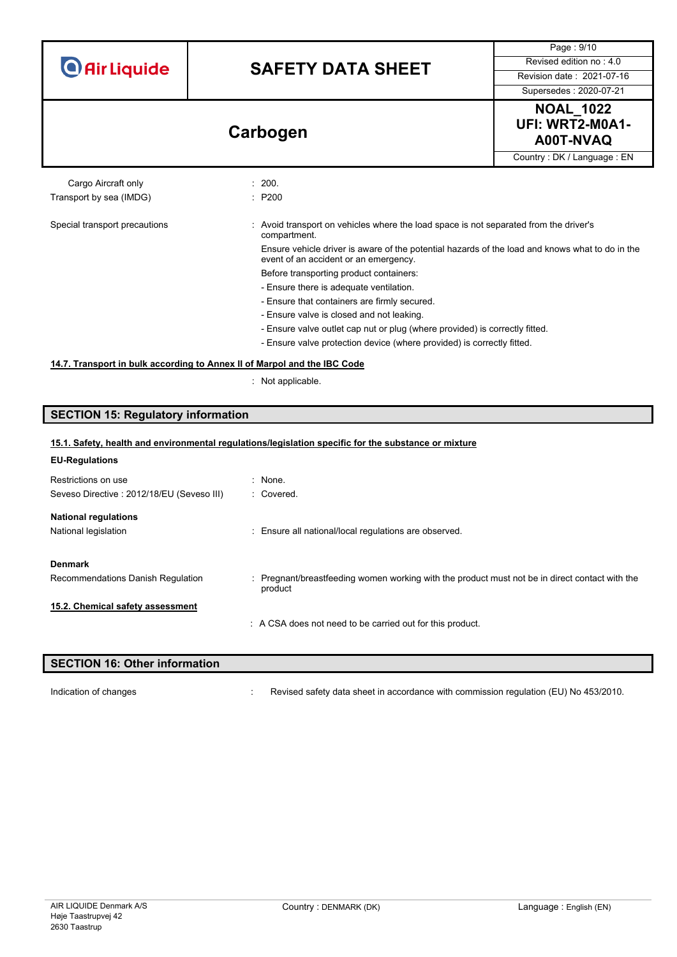| <b>O</b> Air Liquide |
|----------------------|
|----------------------|

Page : 9/10



Country : DK / Language : EN

#### Cargo Aircraft only **Example 200.** 200. Transport by sea (IMDG) : P200

#### Special transport precautions : Avoid transport on vehicles where the load space is not separated from the driver's compartment. Ensure vehicle driver is aware of the potential hazards of the load and knows what to do in the

event of an accident or an emergency. Before transporting product containers:

- Ensure there is adequate ventilation.
- Ensure that containers are firmly secured.
- Ensure valve is closed and not leaking.
- Ensure valve outlet cap nut or plug (where provided) is correctly fitted.
- Ensure valve protection device (where provided) is correctly fitted.

#### **14.7. Transport in bulk according to Annex II of Marpol and the IBC Code**

: Not applicable.

#### **SECTION 15: Regulatory information**

| 15.1. Safety, health and environmental regulations/legislation specific for the substance or mixture |                                                                                                           |  |
|------------------------------------------------------------------------------------------------------|-----------------------------------------------------------------------------------------------------------|--|
| <b>EU-Regulations</b>                                                                                |                                                                                                           |  |
| Restrictions on use                                                                                  | : None.                                                                                                   |  |
| Seveso Directive: 2012/18/EU (Seveso III)                                                            | : Covered.                                                                                                |  |
| <b>National regulations</b>                                                                          |                                                                                                           |  |
| National legislation                                                                                 | : Ensure all national/local regulations are observed.                                                     |  |
| <b>Denmark</b>                                                                                       |                                                                                                           |  |
| Recommendations Danish Regulation                                                                    | : Pregnant/breastfeeding women working with the product must not be in direct contact with the<br>product |  |
| 15.2. Chemical safety assessment                                                                     |                                                                                                           |  |
|                                                                                                      | : A CSA does not need to be carried out for this product.                                                 |  |
|                                                                                                      |                                                                                                           |  |

#### **SECTION 16: Other information**

Indication of changes **interview in a commission contant of changes** in accordance with commission regulation (EU) No 453/2010.